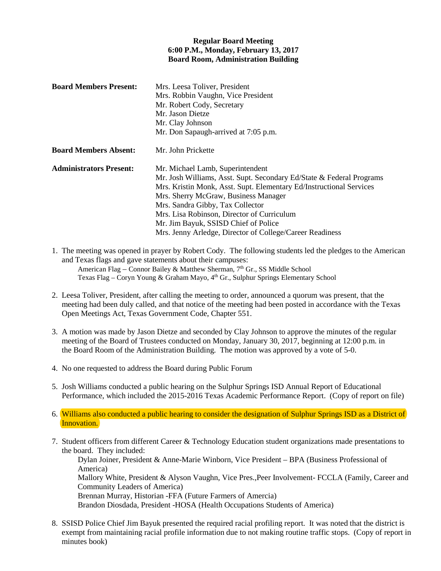## **Regular Board Meeting 6:00 P.M., Monday, February 13, 2017 Board Room, Administration Building**

| <b>Board Members Present:</b>  | Mrs. Leesa Toliver, President<br>Mrs. Robbin Vaughn, Vice President<br>Mr. Robert Cody, Secretary<br>Mr. Jason Dietze<br>Mr. Clay Johnson<br>Mr. Don Sapaugh-arrived at 7:05 p.m.                                                                                                                                                                                                                             |
|--------------------------------|---------------------------------------------------------------------------------------------------------------------------------------------------------------------------------------------------------------------------------------------------------------------------------------------------------------------------------------------------------------------------------------------------------------|
| <b>Board Members Absent:</b>   | Mr. John Prickette                                                                                                                                                                                                                                                                                                                                                                                            |
| <b>Administrators Present:</b> | Mr. Michael Lamb, Superintendent<br>Mr. Josh Williams, Asst. Supt. Secondary Ed/State & Federal Programs<br>Mrs. Kristin Monk, Asst. Supt. Elementary Ed/Instructional Services<br>Mrs. Sherry McGraw, Business Manager<br>Mrs. Sandra Gibby, Tax Collector<br>Mrs. Lisa Robinson, Director of Curriculum<br>Mr. Jim Bayuk, SSISD Chief of Police<br>Mrs. Jenny Arledge, Director of College/Career Readiness |

- 1. The meeting was opened in prayer by Robert Cody. The following students led the pledges to the American and Texas flags and gave statements about their campuses: American Flag – Connor Bailey & Matthew Sherman, 7<sup>th</sup> Gr., SS Middle School Texas Flag – Coryn Young & Graham Mayo, 4<sup>th</sup> Gr., Sulphur Springs Elementary School
- 2. Leesa Toliver, President, after calling the meeting to order, announced a quorum was present, that the meeting had been duly called, and that notice of the meeting had been posted in accordance with the Texas Open Meetings Act, Texas Government Code, Chapter 551.
- 3. A motion was made by Jason Dietze and seconded by Clay Johnson to approve the minutes of the regular meeting of the Board of Trustees conducted on Monday, January 30, 2017, beginning at 12:00 p.m. in the Board Room of the Administration Building. The motion was approved by a vote of 5-0.
- 4. No one requested to address the Board during Public Forum
- 5. Josh Williams conducted a public hearing on the Sulphur Springs ISD Annual Report of Educational Performance, which included the 2015-2016 Texas Academic Performance Report. (Copy of report on file)
- 6. Williams also conducted a public hearing to consider the designation of Sulphur Springs ISD as a District of Innovation.
- 7. Student officers from different Career & Technology Education student organizations made presentations to the board. They included:

Dylan Joiner, President & Anne-Marie Winborn, Vice President – BPA (Business Professional of America) Mallory White, President & Alyson Vaughn, Vice Pres.,Peer Involvement- FCCLA (Family, Career and Community Leaders of America) Brennan Murray, Historian -FFA (Future Farmers of Amercia) Brandon Diosdada, President -HOSA (Health Occupations Students of America)

8. SSISD Police Chief Jim Bayuk presented the required racial profiling report. It was noted that the district is exempt from maintaining racial profile information due to not making routine traffic stops. (Copy of report in minutes book)